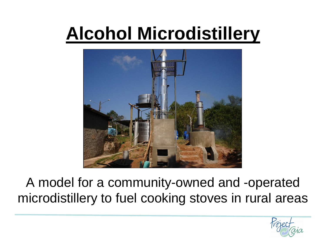## **Alcohol Microdistillery**



#### A model for a community-owned and -operated microdistillery to fuel cooking stoves in rural areas

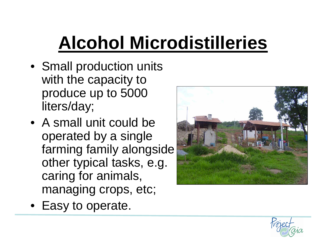# **Alcohol Microdistilleries**

- Small production units with the capacity to produce up to 5000 liters/day;
- A small unit could be operated by a single farming family alongside other typical tasks, e.g. caring for animals, managing crops, etc;



• Easy to operate.

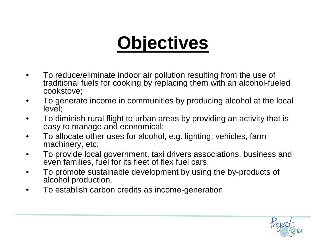### **Objectives**

- To reduce/eliminate indoor air pollution resulting from the use of traditional fuels for cooking by replacing them with an alcohol-fueled cookstove;
- To generate income in communities by producing alcohol at the local level;
- To diminish rural flight to urban areas by providing an activity that is easy to manage and economical;
- To allocate other uses for alcohol, e.g. lighting, vehicles, farm machinery, etc;
- To provide local government, taxi drivers associations, business and even families, fuel for its fleet of flex fuel cars.
- To promote sustainable development by using the by-products of alcohol production.
- To establish carbon credits as income-generation

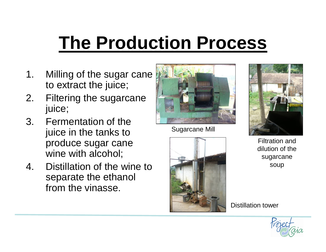### **The Production Process**

- 1. Milling of the sugar cane to extract the juice;
- 2. Filtering the sugarcane juice;
- 3. Fermentation of the juice in the tanks to produce sugar cane wine with alcohol;
- 4. Distillation of the wine to separate the ethanol from the vinasse.



Sugarcane Mill





Filtration and dilution of the sugarcane soup

Distillation tower

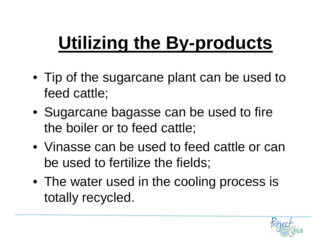# **Utilizing the By-products**

- Tip of the sugarcane plant can be used to feed cattle;
- Sugarcane bagasse can be used to fire the boiler or to feed cattle;
- Vinasse can be used to feed cattle or can be used to fertilize the fields;
- The water used in the cooling process is totally recycled.

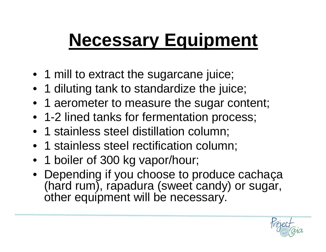### **Necessary Equipment**

- 1 mill to extract the sugarcane juice;
- 1 diluting tank to standardize the juice;
- 1 aerometer to measure the sugar content;
- 1-2 lined tanks for fermentation process;
- 1 stainless steel distillation column;
- 1 stainless steel rectification column;
- 1 boiler of 300 kg vapor/hour;
- Depending if you choose to produce cachaça (hard rum), rapadura (sweet candy) or sugar, other equipment will be necessary.

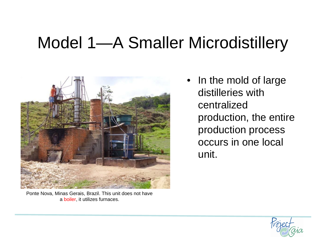#### Model 1—A Smaller Microdistillery



• In the mold of large distilleries with centralized production, the entire production process occurs in one local unit.

Ponte Nova, Minas Gerais, Brazil. This unit does not have a boiler, it utilizes furnaces.

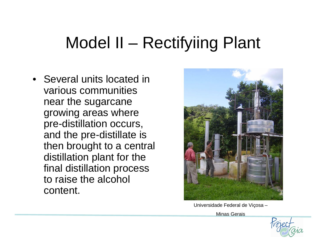#### Model II – Rectifyiing Plant

• Several units located in various communities near the sugarcane growing areas where pre-distillation occurs, and the pre-distillate is then brought to a central distillation plant for the final distillation process to raise the alcohol content.



Universidade Federal de Viçosa –

Minas Gerais

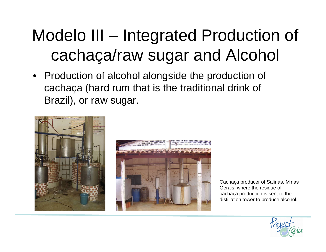#### Modelo III – Integrated Production of cachaça/raw sugar and Alcohol

• Production of alcohol alongside the production of cachaça (hard rum that is the traditional drink of Brazil), or raw sugar.





Cachaça producer of Salinas, Minas Gerais, where the residue of cachaça production is sent to the distillation tower to produce alcohol.

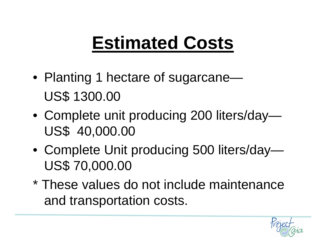## **Estimated Costs**

- Planting 1 hectare of sugarcane— US\$ 1300.00
- Complete unit producing 200 liters/day— US\$ 40,000.00
- Complete Unit producing 500 liters/day— US\$ 70,000.00
- \* These values do not include maintenance and transportation costs.